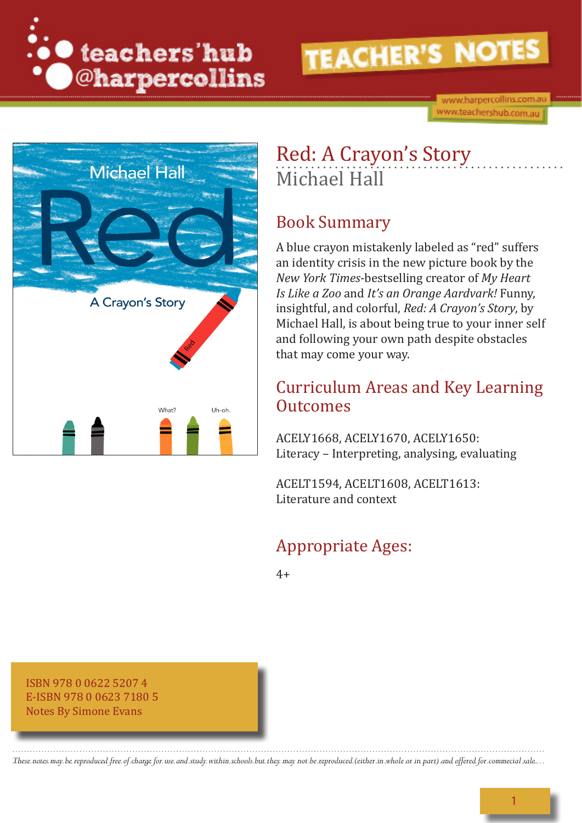

www.harpercollins.com.au www.teachershub.com.au



## Red: A Crayon's Story Michael Hall

#### Book Summary

A blue crayon mistakenly labeled as "red" suffers an identity crisis in the new picture book by the *New York Times*-bestselling creator of *My Heart Is Like a Zoo* and *It's an Orange Aardvark!* Funny, insightful, and colorful, *Red: A Crayon's Story*, by Michael Hall, is about being true to your inner self and following your own path despite obstacles that may come your way.

#### Curriculum Areas and Key Learning **Outcomes**

ACELY1668, ACELY1670, ACELY1650: Literacy – Interpreting, analysing, evaluating

ACELT1594, ACELT1608, ACELT1613: Literature and context

## Appropriate Ages:

 $4+$ 

ISBN 978 0 0622 5207 4 E-ISBN 978 0 0623 7180 5 Notes By Simone Evans

*These notes may be reproduced free of charge for use and study within schools but they may not be reproduced (either in whole or in part) and offered for commecial sale.*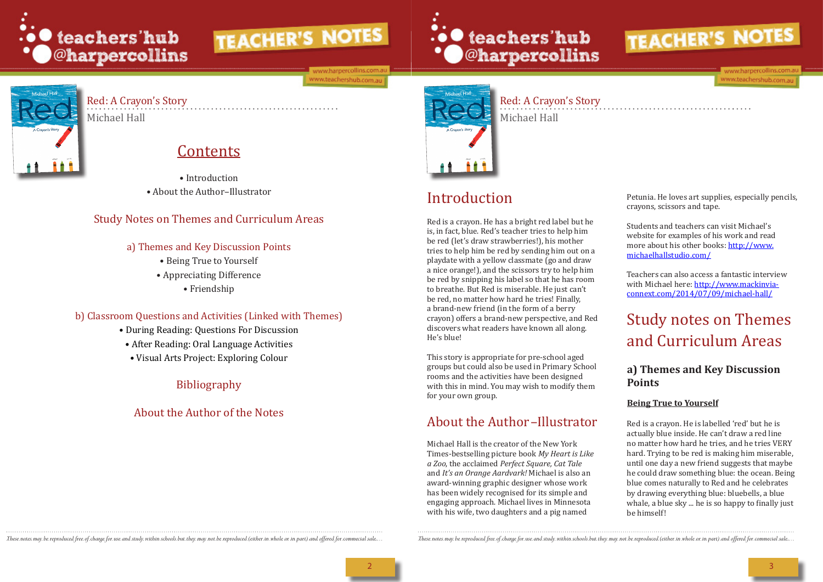

ww.harpercollins.cor ww.teachershub.com.au



## Red: A Crayon's Story

Michael Hall

## Red: A Crayon's Story Michael Hall

## Contents

• Introduction • About the Author–Illustrator

#### Study Notes on Themes and Curriculum Areas

#### a) Themes and Key Discussion Points

- Being True to Yourself
- Appreciating Difference
	- Friendship

#### b) Classroom Questions and Activities (Linked with Themes)

- During Reading: Questions For Discussion
- After Reading: Oral Language Activities
- Visual Arts Project: Exploring Colour

## Bibliography

## About the Author of the Notes





## Introduction

Red is a crayon. He has a bright red label but he is, in fact, blue. Red's teacher tries to help him be red (let's draw strawberries!), his mother tries to help him be red by sending him out on a playdate with a yellow classmate (go and draw a nice orange!), and the scissors try to help him be red by snipping his label so that he has room to breathe. But Red is miserable. He just can't be red, no matter how hard he tries! Finally, a brand-new friend (in the form of a berry crayon) offers a brand-new perspective, and Red discovers what readers have known all along. He's blue!

This story is appropriate for pre-school aged groups but could also be used in Primary School rooms and the activities have been designed with this in mind. You may wish to modify them for your own group.

Michael Hall is the creator of the New York Times-bestselling picture book *My Heart is Like a Zoo*, the acclaimed *Perfect Square, Cat Tale*  and *It's an Orange Aardvark!* Michael is also an award-winning graphic designer whose work has been widely recognised for its simple and engaging approach. Michael lives in Minnesota with his wife, two daughters and a pig named

These notes may be reproduced free of charge for use and study within schools but they may not be reproduced (either in whole or in part) and offered for commecial sale... These notes may be reproduced free of charge for u



ww.harpercollins.cor www.teachershub.com.au

Petunia. He loves art supplies, especially pencils, crayons, scissors and tape.

Students and teachers can visit Michael's website for examples of his work and read more about his other books: http://www. michaelhallstudio.com/

## About the Author –Illustrator

Teachers can also access a fantastic interview with Michael here: http://www.mackinviaconnext.com/2014/07/09/michael-hall/

## Study notes on Themes and Curriculum Areas

#### **a) Themes and Key Discussion Points**

#### **Being True to Yourself**

Red is a crayon. He is labelled 'red' but he is actually blue inside. He can't draw a red line no matter how hard he tries, and he tries VERY hard. Trying to be red is making him miserable, until one day a new friend suggests that maybe he could draw something blue: the ocean. Being blue comes naturally to Red and he celebrates by drawing everything blue: bluebells, a blue whale, a blue sky ... he is so happy to finally just be himself!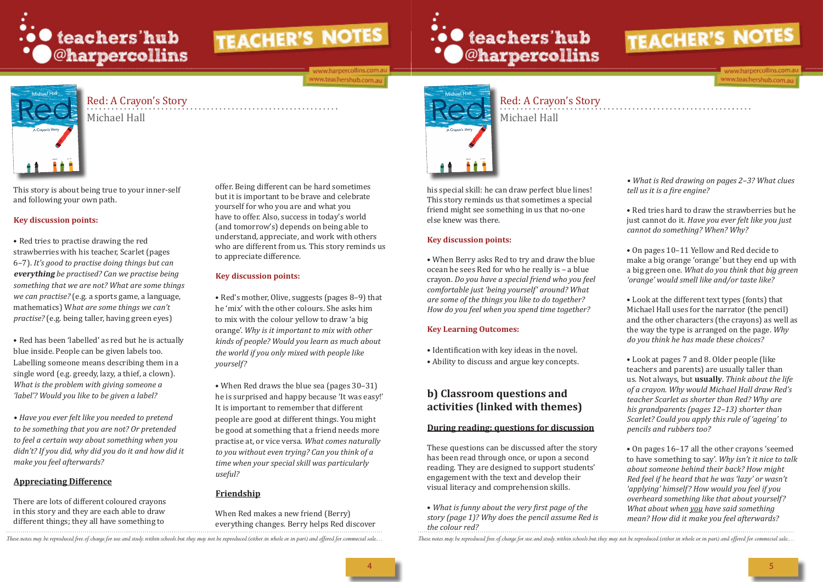

ww.harpercollins.com ww.teachershub.com.au

# **O** teachers'hub<br>
● © harpercollins

## Red: A Crayon's Story

Michael Hall

Red: A Crayon's Story Michael Hall

This story is about being true to your inner-self and following your own path.

#### **Key discussion points:**

• Red tries to practise drawing the red strawberries with his teacher, Scarlet (pages 6–7). *It's good to practise doing things but can*  **everything** *be practised? Can we practise being something that we are not? What are some things we can practise?* (e.g. a sports game, a language, mathematics) W*hat are some things we can't practise?* (e.g. being taller, having green eyes)

• Red has been 'labelled' as red but he is actually blue inside. People can be given labels too. Labelling someone means describing them in a single word (e.g. greedy, lazy, a thief, a clown). *What is the problem with giving someone a 'label'? Would you like to be given a label?*

*• Have you ever felt like you needed to pretend to be something that you are not? Or pretended to feel a certain way about something when you didn't? If you did, why did you do it and how did it make you feel afterwards?* 

#### **Appreciating Difference**

There are lots of different coloured crayons in this story and they are each able to draw different things; they all have something to

offer. Being different can be hard sometimes but it is important to be brave and celebrate yourself for who you are and what you have to offer. Also, success in today's world (and tomorrow's) depends on being able to understand, appreciate, and work with others who are different from us. This story reminds us to appreciate difference.

#### **Key discussion points:**

• Red's mother, Olive, suggests (pages 8–9) that he 'mix' with the other colours. She asks him to mix with the colour yellow to draw 'a big orange'. *Why is it important to mix with other kinds of people? Would you learn as much about the world if you only mixed with people like yourself?* 

• When Red draws the blue sea (pages 30–31) he is surprised and happy because 'It was easy!' It is important to remember that different people are good at different things. You might be good at something that a friend needs more practise at, or vice versa. *What comes naturally to you without even trying? Can you think of a time when your special skill was particularly useful?* 

#### **Friendship**

When Red makes a new friend (Berry) everything changes. Berry helps Red discover



his special skill: he can draw perfect blue lines! This story reminds us that sometimes a special friend might see something in us that no-one else knew was there.

#### **Key discussion points:**

• When Berry asks Red to try and draw the blue ocean he sees Red for who he really is – a blue crayon. *Do you have a special friend who you feel comfortable just 'being yourself' around? What are some of the things you like to do together? How do you feel when you spend time together?*

#### **Key Learning Outcomes:**

- Identification with key ideas in the novel.
- Ability to discuss and argue key concepts.

#### **b) Classroom questions and activities (linked with themes)**

#### **During reading: questions for discussion**

These questions can be discussed after the story has been read through once, or upon a second reading. They are designed to support students' engagement with the text and develop their visual literacy and comprehension skills.

• *What is funny about the very first page of the story (page 1)? Why does the pencil assume Red is the colour red?*

These notes may be reproduced free of charge for use and study within schools but they may not be reproduced (either in whole or in part) and offered for commecial sale... These notes may be reproduced free of charge for u



ww.harpercollins.cor www.teachershub.com.au

*• What is Red drawing on pages 2–3? What clues tell us it is a fire engine?*

• Red tries hard to draw the strawberries but he just cannot do it*. Have you ever felt like you just cannot do something? When? Why?*

• On pages 10–11 Yellow and Red decide to make a big orange 'orange' but they end up with a big green one. *What do you think that big green 'orange' would smell like and/or taste like?* 

• Look at the different text types (fonts) that Michael Hall uses for the narrator (the pencil) and the other characters (the crayons) as well as the way the type is arranged on the page. *Why do you think he has made these choices?* 

• Look at pages 7 and 8. Older people (like teachers and parents) are usually taller than us. Not always, but **usually**. *Think about the life of a crayon. Why would Michael Hall draw Red's teacher Scarlet as shorter than Red? Why are his grandparents (pages 12–13) shorter than Scarlet? Could you apply this rule of 'ageing' to pencils and rubbers too?* 

• On pages 16–17 all the other crayons 'seemed to have something to say'. *Why isn't it nice to talk about someone behind their back? How might Red feel if he heard that he was 'lazy' or wasn't 'applying' himself? How would you feel if you overheard something like that about yourself? What about when you have said something mean? How did it make you feel afterwards?*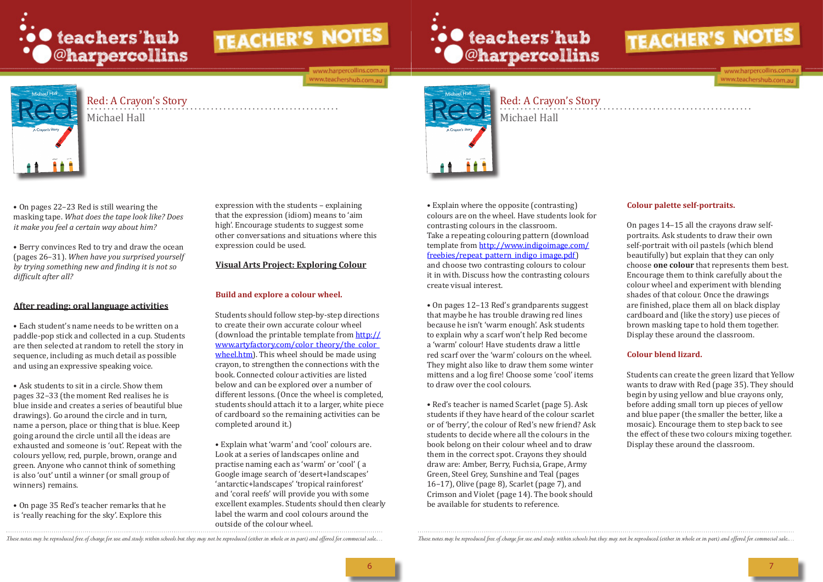

ww.harpercollins.com ww.teachershub.com.au

## ... teachers'hub **\* O**@harpercollins



## Red: A Crayon's Story

Michael Hall

Red: A Crayon's Story Michael Hall

• On pages 22–23 Red is still wearing the masking tape. *What does the tape look like? Does it make you feel a certain way about him?*

• Berry convinces Red to try and draw the ocean (pages 26–31). *When have you surprised yourself by trying something new and finding it is not so difficult after all?*

#### **After reading: oral language activities**

• Each student's name needs to be written on a paddle-pop stick and collected in a cup. Students are then selected at random to retell the story in sequence, including as much detail as possible and using an expressive speaking voice.

• Ask students to sit in a circle. Show them pages 32–33 (the moment Red realises he is blue inside and creates a series of beautiful blue drawings). Go around the circle and in turn, name a person, place or thing that is blue. Keep going around the circle until all the ideas are exhausted and someone is 'out'. Repeat with the colours yellow, red, purple, brown, orange and green. Anyone who cannot think of something is also 'out' until a winner (or small group of winners) remains.

• On page 35 Red's teacher remarks that he is 'really reaching for the sky'. Explore this

expression with the students – explaining that the expression (idiom) means to 'aim high'. Encourage students to suggest some other conversations and situations where this expression could be used.

#### **Visual Arts Project: Exploring Colour**

#### **Build and explore a colour wheel.**

Students should follow step-by-step directions to create their own accurate colour wheel (download the printable template from http:// www.artyfactory.com/color\_theory/the\_color wheel.htm). This wheel should be made using crayon, to strengthen the connections with the book. Connected colour activities are listed below and can be explored over a number of different lessons. (Once the wheel is completed, students should attach it to a larger, white piece of cardboard so the remaining activities can be completed around it.)

• Explain what 'warm' and 'cool' colours are. Look at a series of landscapes online and practise naming each as 'warm' or 'cool' ( a Google image search of 'desert+landscapes' 'antarctic+landscapes' 'tropical rainforest' and 'coral reefs' will provide you with some excellent examples. Students should then clearly label the warm and cool colours around the outside of the colour wheel.



• Explain where the opposite (contrasting) colours are on the wheel. Have students look for contrasting colours in the classroom. Take a repeating colouring pattern (download template from http://www.indigoimage.com/ freebies/repeat\_pattern\_indigo\_image.pdf) and choose two contrasting colours to colour it in with. Discuss how the contrasting colours create visual interest.

• On pages 12–13 Red's grandparents suggest that maybe he has trouble drawing red lines because he isn't 'warm enough'. Ask students to explain why a scarf won't help Red become a 'warm' colour! Have students draw a little red scarf over the 'warm' colours on the wheel. They might also like to draw them some winter mittens and a log fire! Choose some 'cool' items to draw over the cool colours.

• Red's teacher is named Scarlet (page 5). Ask students if they have heard of the colour scarlet or of 'berry', the colour of Red's new friend? Ask students to decide where all the colours in the book belong on their colour wheel and to draw them in the correct spot. Crayons they should draw are: Amber, Berry, Fuchsia, Grape, Army Green, Steel Grey, Sunshine and Teal (pages 16–17), Olive (page 8), Scarlet (page 7), and Crimson and Violet (page 14). The book should be available for students to reference.

These notes may be reproduced free of charge for use and study within schools but they may not be reproduced (either in whole or in part) and offered for commecial sale... These notes may be reproduced free of charge for u



ww.harpercollins.com www.teachershub.com.au

#### **Colour palette self-portraits.**

On pages 14–15 all the crayons draw selfportraits. Ask students to draw their own self-portrait with oil pastels (which blend beautifully) but explain that they can only choose **one colour** that represents them best. Encourage them to think carefully about the colour wheel and experiment with blending shades of that colour. Once the drawings are finished, place them all on black display cardboard and (like the story) use pieces of brown masking tape to hold them together. Display these around the classroom.

#### **Colour blend lizard.**

Students can create the green lizard that Yellow wants to draw with Red (page 35). They should begin by using yellow and blue crayons only, before adding small torn up pieces of yellow and blue paper (the smaller the better, like a mosaic). Encourage them to step back to see the effect of these two colours mixing together. Display these around the classroom.